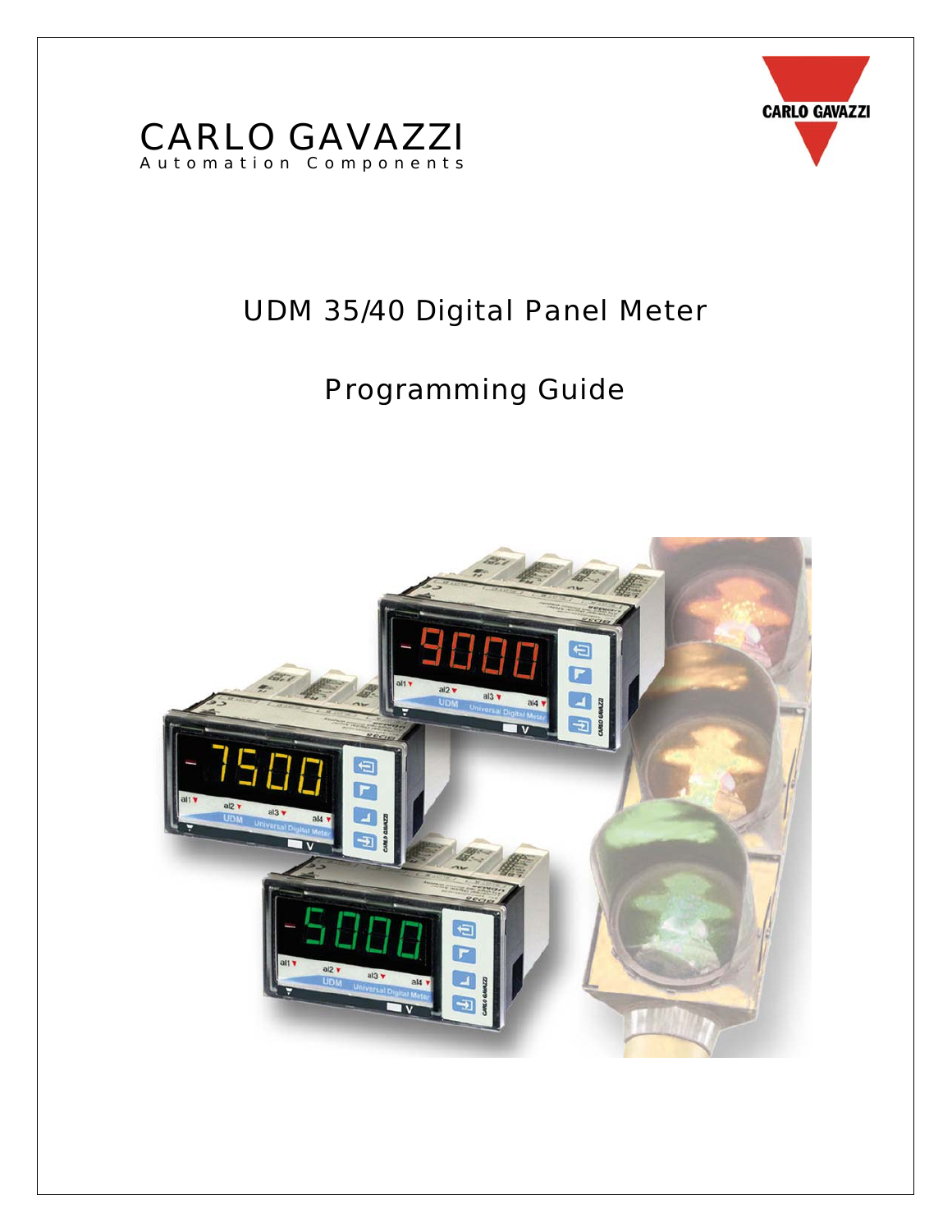



# UDM 35/40 Digital Panel Meter

# Programming Guide

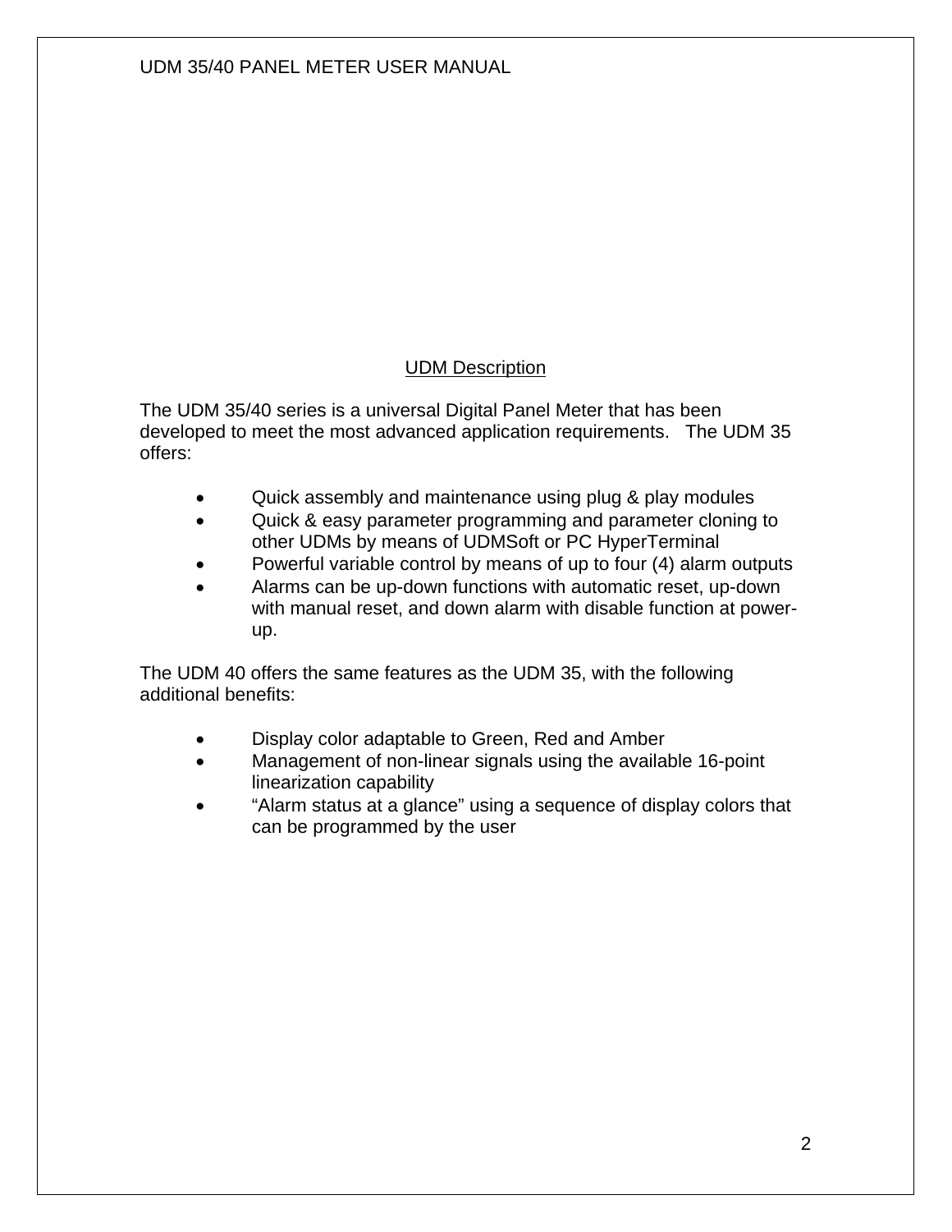#### UDM Description

The UDM 35/40 series is a universal Digital Panel Meter that has been developed to meet the most advanced application requirements. The UDM 35 offers:

- Quick assembly and maintenance using plug & play modules
- Quick & easy parameter programming and parameter cloning to other UDMs by means of UDMSoft or PC HyperTerminal
- Powerful variable control by means of up to four (4) alarm outputs
- Alarms can be up-down functions with automatic reset, up-down with manual reset, and down alarm with disable function at powerup.

The UDM 40 offers the same features as the UDM 35, with the following additional benefits:

- Display color adaptable to Green, Red and Amber
- Management of non-linear signals using the available 16-point linearization capability
- "Alarm status at a glance" using a sequence of display colors that can be programmed by the user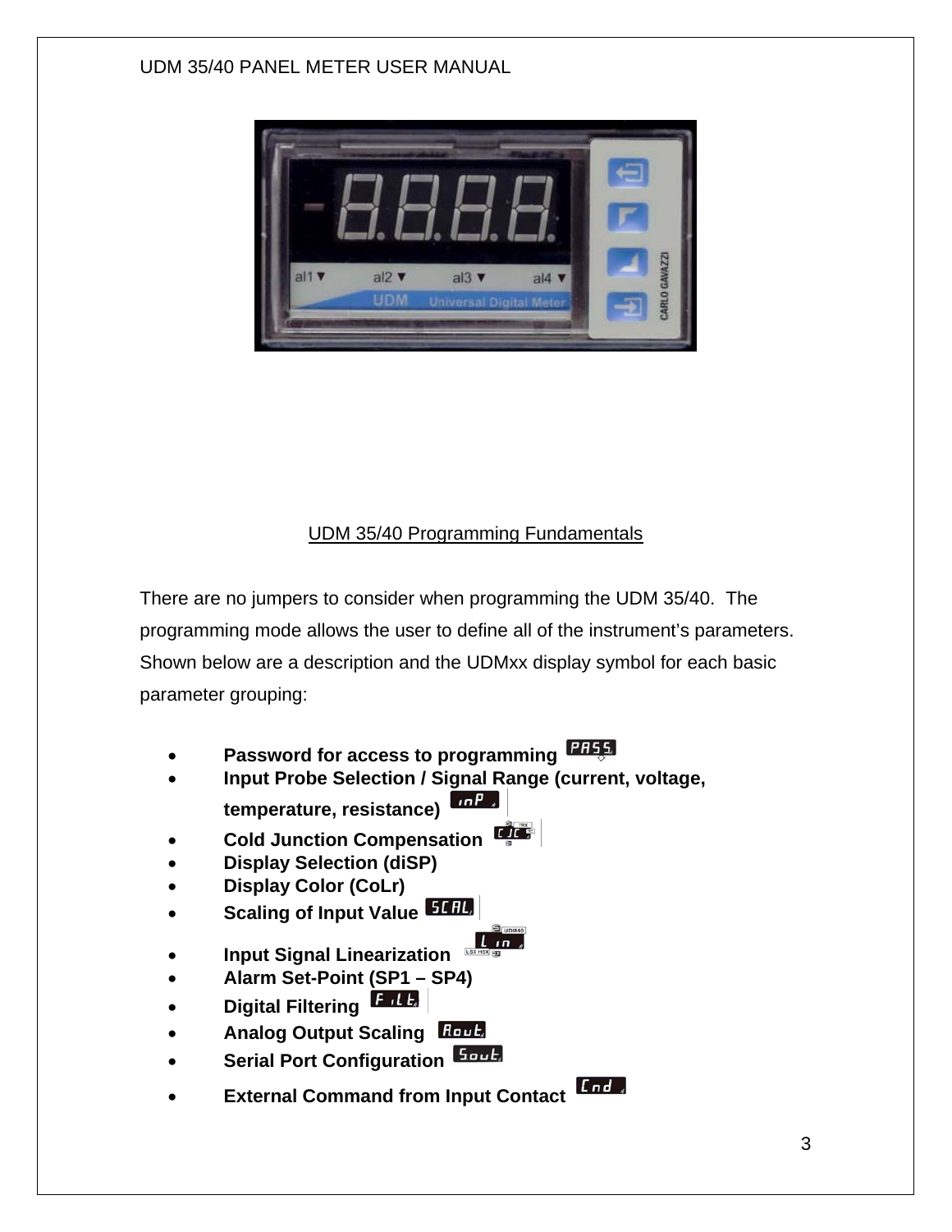

### UDM 35/40 Programming Fundamentals

There are no jumpers to consider when programming the UDM 35/40. The programming mode allows the user to define all of the instrument's parameters. Shown below are a description and the UDMxx display symbol for each basic parameter grouping:

- **Password for access to programming**
- **Input Probe Selection / Signal Range (current, voltage, temperature, resistance)**
- **Cold Junction Compensation**
- **Display Selection (diSP)**
- **Display Color (CoLr)**
- **Scaling of Input Value 51 BL**
- **Input Signal Linearization**
- **Alarm Set-Point (SP1 SP4)**
- **Digital Filtering**
- **Analog Output Scaling**
- **Serial Port Configuration Forth**
- **External Command from Input Contact** End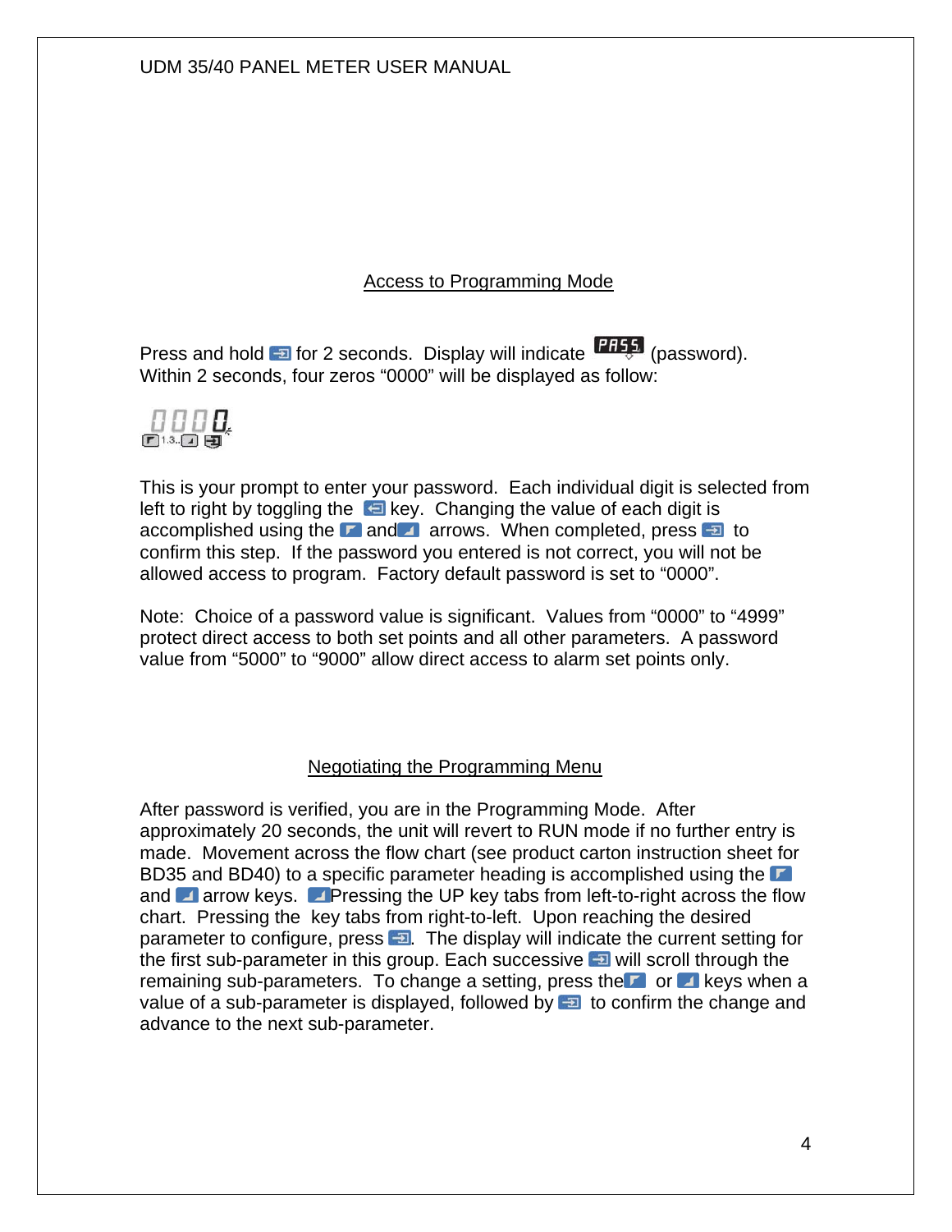#### Access to Programming Mode

Press and hold **Form** for 2 seconds. Display will indicate **THES** (password). Within 2 seconds, four zeros "0000" will be displayed as follow:



This is your prompt to enter your password. Each individual digit is selected from left to right by toggling the  $\Box$  key. Changing the value of each digit is accomplished using the **a** and a arrows. When completed, press  $\overline{a}$  to confirm this step. If the password you entered is not correct, you will not be allowed access to program. Factory default password is set to "0000".

Note: Choice of a password value is significant. Values from "0000" to "4999" protect direct access to both set points and all other parameters. A password value from "5000" to "9000" allow direct access to alarm set points only.

#### Negotiating the Programming Menu

After password is verified, you are in the Programming Mode. After approximately 20 seconds, the unit will revert to RUN mode if no further entry is made. Movement across the flow chart (see product carton instruction sheet for BD35 and BD40) to a specific parameter heading is accomplished using the and **A** arrow keys. **A** Pressing the UP key tabs from left-to-right across the flow chart. Pressing the key tabs from right-to-left. Upon reaching the desired parameter to configure, press  $\Box$  The display will indicate the current setting for the first sub-parameter in this group. Each successive  $\Box$  will scroll through the remaining sub-parameters. To change a setting, press the  $\blacksquare$  or  $\blacksquare$  keys when a value of a sub-parameter is displayed, followed by  $\Box$  to confirm the change and advance to the next sub-parameter.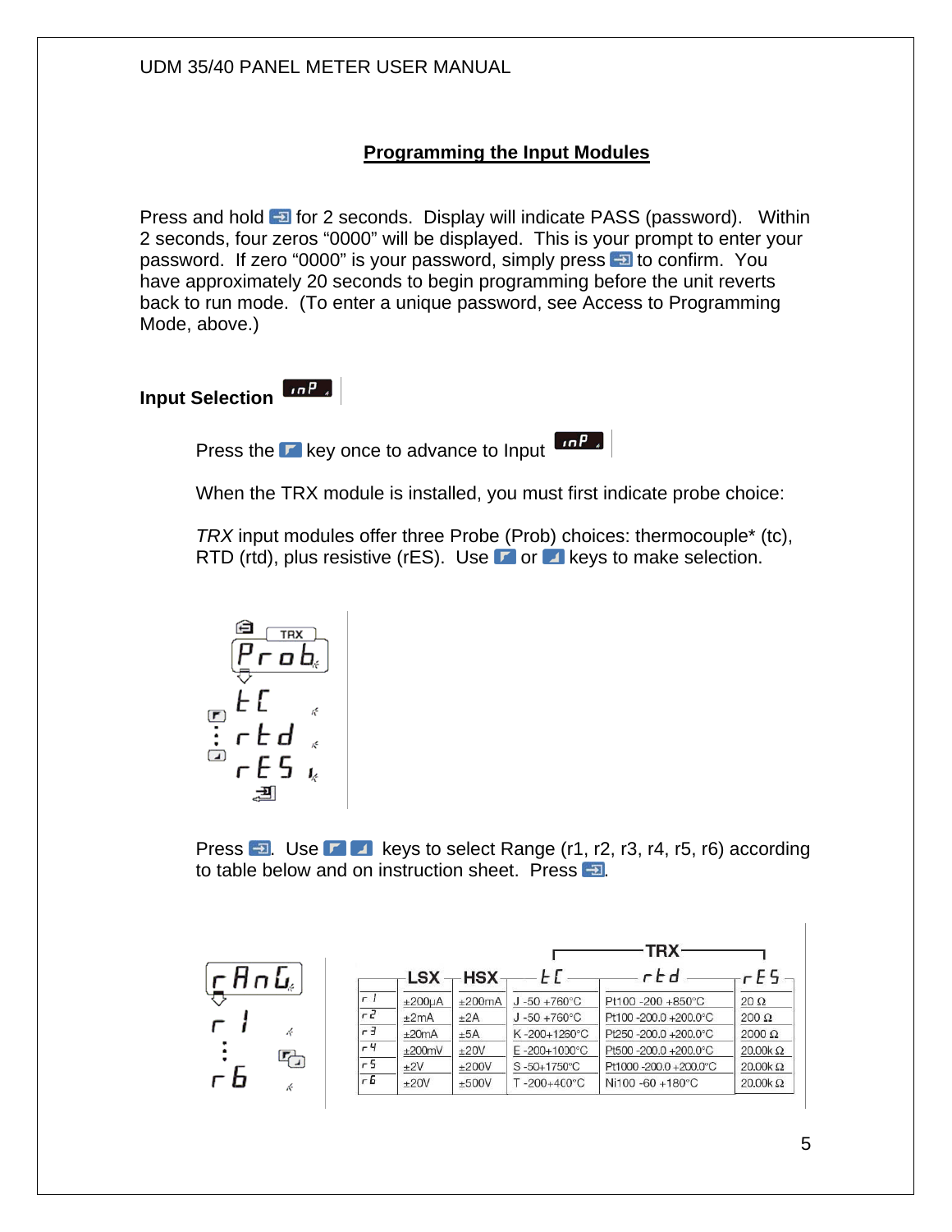#### **Programming the Input Modules**

Press and hold **Form** for 2 seconds. Display will indicate PASS (password). Within 2 seconds, four zeros "0000" will be displayed. This is your prompt to enter your password. If zero "0000" is your password, simply press **to confirm.** You have approximately 20 seconds to begin programming before the unit reverts back to run mode. (To enter a unique password, see Access to Programming Mode, above.)

**Input Selection** 

Press the  $\Gamma$  key once to advance to Input  $\left[\begin{array}{cc} 1 & \cdots & 1 \\ 1 & \cdots & 1 \end{array}\right]$ 

When the TRX module is installed, you must first indicate probe choice:

*TRX* input modules offer three Probe (Prob) choices: thermocouple\* (tc), RTD (rtd), plus resistive (rES). Use  $\blacksquare$  or  $\blacksquare$  keys to make selection.

$$
\begin{array}{c}\n\mathbf{a} \\
\hline\n\mathbf{r} \\
\hline\n\mathbf{r} \\
\hline\n\mathbf{r} \\
\hline\n\mathbf{r} \\
\hline\n\mathbf{r} \\
\hline\n\mathbf{r} \\
\hline\n\mathbf{r} \\
\hline\n\mathbf{r} \\
\hline\n\mathbf{r} \\
\hline\n\mathbf{r} \\
\hline\n\mathbf{r} \\
\hline\n\mathbf{r} \\
\hline\n\mathbf{r} \\
\hline\n\mathbf{r} \\
\hline\n\mathbf{r} \\
\hline\n\mathbf{r} \\
\hline\n\mathbf{r} \\
\hline\n\mathbf{r} \\
\hline\n\mathbf{r} \\
\hline\n\mathbf{r} \\
\hline\n\mathbf{r} \\
\hline\n\mathbf{r} \\
\hline\n\mathbf{r} \\
\hline\n\mathbf{r} \\
\hline\n\mathbf{r} \\
\hline\n\mathbf{r} \\
\hline\n\mathbf{r} \\
\hline\n\mathbf{r} \\
\hline\n\mathbf{r} \\
\hline\n\mathbf{r} \\
\hline\n\mathbf{r} \\
\hline\n\mathbf{r} \\
\hline\n\mathbf{r} \\
\hline\n\mathbf{r} \\
\hline\n\mathbf{r} \\
\hline\n\mathbf{r} \\
\hline\n\mathbf{r} \\
\hline\n\mathbf{r} \\
\hline\n\mathbf{r} \\
\hline\n\mathbf{r} \\
\hline\n\mathbf{r} \\
\hline\n\mathbf{r} \\
\hline\n\mathbf{r} \\
\hline\n\mathbf{r} \\
\hline\n\mathbf{r} \\
\hline\n\mathbf{r} \\
\hline\n\mathbf{r} \\
\hline\n\mathbf{r} \\
\hline\n\mathbf{r} \\
\hline\n\mathbf{r} \\
\hline\n\mathbf{r} \\
\hline\n\mathbf{r} \\
\hline\n\mathbf{r} \\
\hline\n\mathbf{r} \\
\hline\n\mathbf{r} \\
\hline\n\mathbf{r} \\
\hline\n\mathbf{r} \\
\hline\n\mathbf{r} \\
\hline\n\mathbf{r} \\
\hline\n\mathbf{r} \\
\hline\n\mathbf{r} \\
\hline\n\mathbf{r} \\
\hline\n\mathbf{r} \\
\hline\n\mathbf{r} \\
\hline\n\mathbf{r} \\
\hline\n\mathbf{r} \\
\hline\n\mathbf{r} \\
\hline\n\mathbf{
$$

Press  $\Box$ . Use  $\Box$  keys to select Range (r1, r2, r3, r4, r5, r6) according to table below and on instruction sheet. Press  $\Box$ .

|                                     |   |                |          |               |                           | TRX                  |                |
|-------------------------------------|---|----------------|----------|---------------|---------------------------|----------------------|----------------|
| $\mathsf{c}$ An $\mathsf{L}_\ast$ . |   |                |          | $LSX - HSX -$ |                           | rhd                  | F5 -           |
|                                     |   | r l            | ±200uA   | ±200mA        | $J - 50 + 760^{\circ}$ C  | Pt100 -200 +850°C    | $20 \Omega$    |
|                                     |   | $\overline{r}$ | ±2mA     | ±2A           | $J - 50 + 760^{\circ}C$   | Pt100-200.0+200.0°C  | $200 \Omega$   |
| г                                   |   | $-3$           | ±20mA    | ±5A           | K-200+1260°C              | Pt250-200.0+200.0°C  | $2000 \Omega$  |
|                                     |   | -4             | $+200mV$ | ±20V          | $E - 200 + 1000^{\circ}C$ | Pt500-200.0+200.0°C  | $20.00k\Omega$ |
|                                     | 다 | r 5            | ±2V      | ±200V         | S-50+1750°C               | Pt1000-200.0+200.0°C | $20.00k\Omega$ |
| гb                                  |   | г Б            | ±20V     | ±500V         | $T - 200 + 400^{\circ}$ C | Ni100 -60 +180°C     | $20.00k\Omega$ |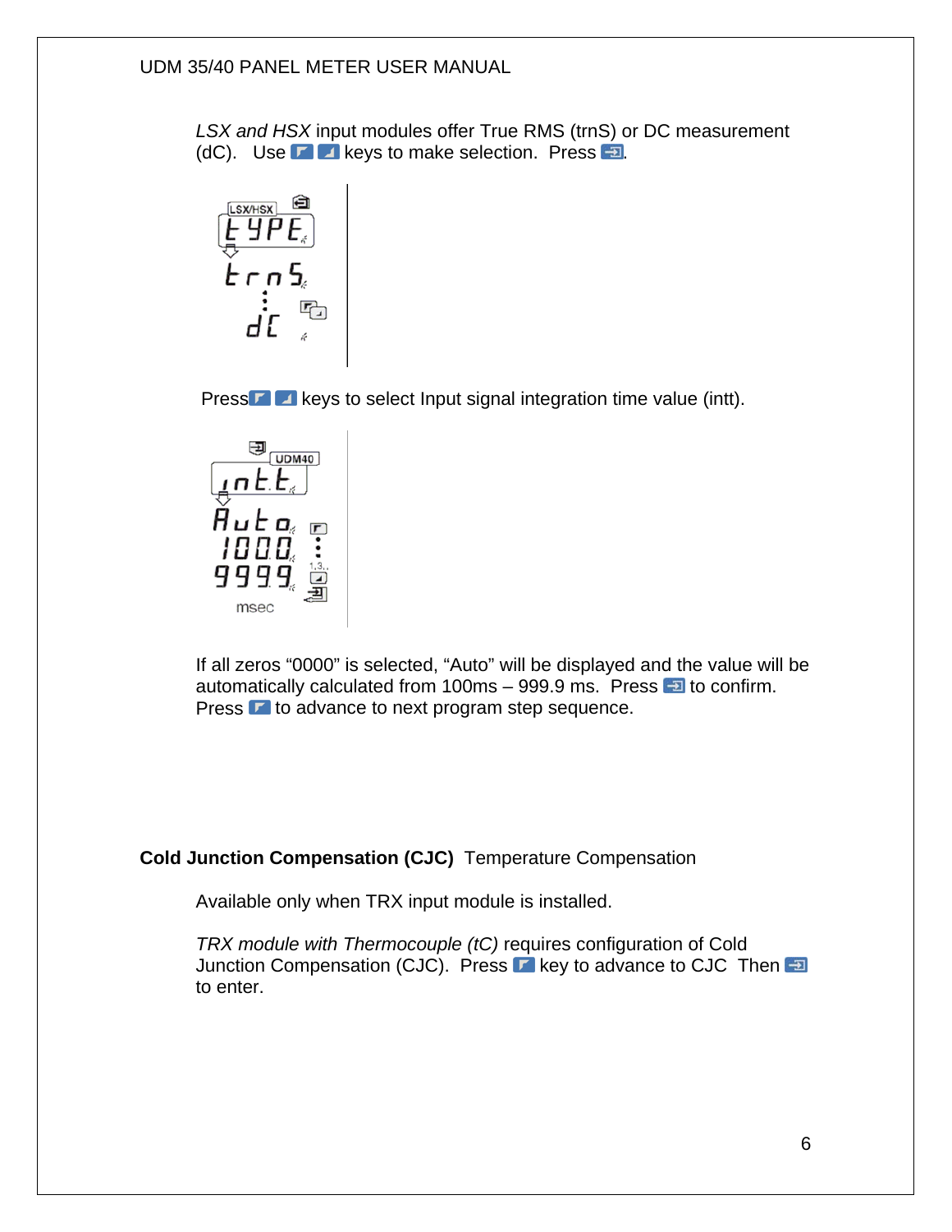*LSX and HSX* input modules offer True RMS (trnS) or DC measurement (dC). Use  $\blacksquare$  a keys to make selection. Press  $\blacksquare$ .



Press **keys to select Input signal integration time value (intt).** 



If all zeros "0000" is selected, "Auto" will be displayed and the value will be automatically calculated from 100ms  $-999.9$  ms. Press  $-1$  to confirm. Press  $\Gamma$  to advance to next program step sequence.

#### **Cold Junction Compensation (CJC)** Temperature Compensation

Available only when TRX input module is installed.

*TRX module with Thermocouple (tC)* requires configuration of Cold Junction Compensation (CJC). Press **k** key to advance to CJC Then  $\Box$ to enter.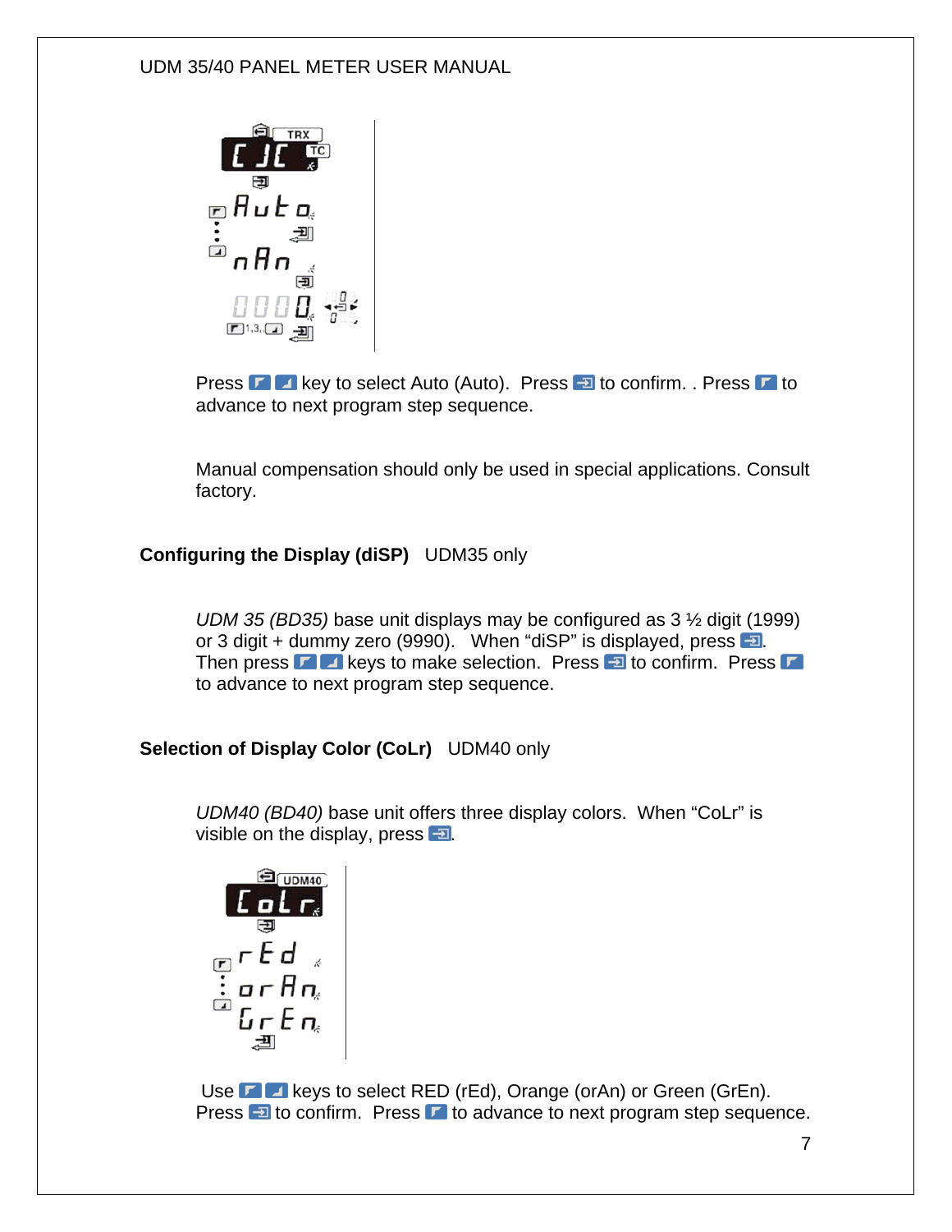

Press **E A** key to select Auto (Auto). Press **E** to confirm. . Press **E** to advance to next program step sequence.

Manual compensation should only be used in special applications. Consult factory.

#### **Configuring the Display (diSP)** UDM35 only

*UDM 35 (BD35)* base unit displays may be configured as 3 ½ digit (1999) or 3 digit + dummy zero (9990). When "diSP" is displayed, press  $\Box$ . Then press  $\Gamma$   $\Box$  keys to make selection. Press  $\Box$  to confirm. Press  $\Box$ to advance to next program step sequence.

**Selection of Display Color (CoLr)** UDM40 only

*UDM40 (BD40)* base unit offers three display colors. When "CoLr" is visible on the display, press  $\Box$ .

$$
\begin{array}{c}\n\text{S} \\
\hline\n\text{S} \\
\text{S} \\
\text{S} \\
\text{S} \\
\text{S} \\
\text{S} \\
\text{S} \\
\text{S} \\
\text{S} \\
\text{S} \\
\text{S} \\
\text{S} \\
\text{S} \\
\text{S} \\
\text{S} \\
\text{S} \\
\text{S} \\
\text{S} \\
\text{S} \\
\text{S} \\
\text{S} \\
\text{S} \\
\text{S} \\
\text{S} \\
\text{S} \\
\text{S} \\
\text{S} \\
\text{S} \\
\text{S} \\
\text{S} \\
\text{S} \\
\text{S} \\
\text{S} \\
\text{S} \\
\text{S} \\
\text{S} \\
\text{S} \\
\text{S} \\
\text{S} \\
\text{S} \\
\text{S} \\
\text{S} \\
\text{S} \\
\text{S} \\
\text{S} \\
\text{S} \\
\text{S} \\
\text{S} \\
\text{S} \\
\text{S} \\
\text{S} \\
\text{S} \\
\text{S} \\
\text{S} \\
\text{S} \\
\text{S} \\
\text{S} \\
\text{S} \\
\text{S} \\
\text{S} \\
\text{S} \\
\text{S} \\
\text{S} \\
\text{S} \\
\text{S} \\
\text{S} \\
\text{S} \\
\text{S} \\
\text{S} \\
\text{S} \\
\text{S} \\
\text{S} \\
\text{S} \\
\text{S} \\
\text{S} \\
\text{S} \\
\text{S} \\
\text{S} \\
\text{S} \\
\text{S} \\
\text{S} \\
\text{S} \\
\text{S} \\
\text{S} \\
\text{S} \\
\text{S} \\
\text{S} \\
\text{S} \\
\text{S} \\
\text{S} \\
\text{S} \\
\text{S} \\
\text{S} \\
\text{S} \\
\text{S} \\
\text{S} \\
\text{S} \\
\text{S} \\
\text{S} \\
\text{S} \\
\text{S} \\
\text{S} \\
\text{S} \\
\text{S} \\
\text{S} \\
\text{S} \\
\text{S} \\
\text{S} \\
\text{S} \\
\text{S} \\
\text{S} \\
\text{S} \\
\text{S} \\
\text{S} \\
\text{S} \\
\text{S} \\
\text{S} \\
\text{S} \\
\text{S} \\
\text{S} \\
\text{S} \\
\text{S} \\
\text{S} \\
\text{S
$$

Use **KE** keys to select RED (rEd), Orange (orAn) or Green (GrEn). Press  $\Box$  to confirm. Press  $\Box$  to advance to next program step sequence.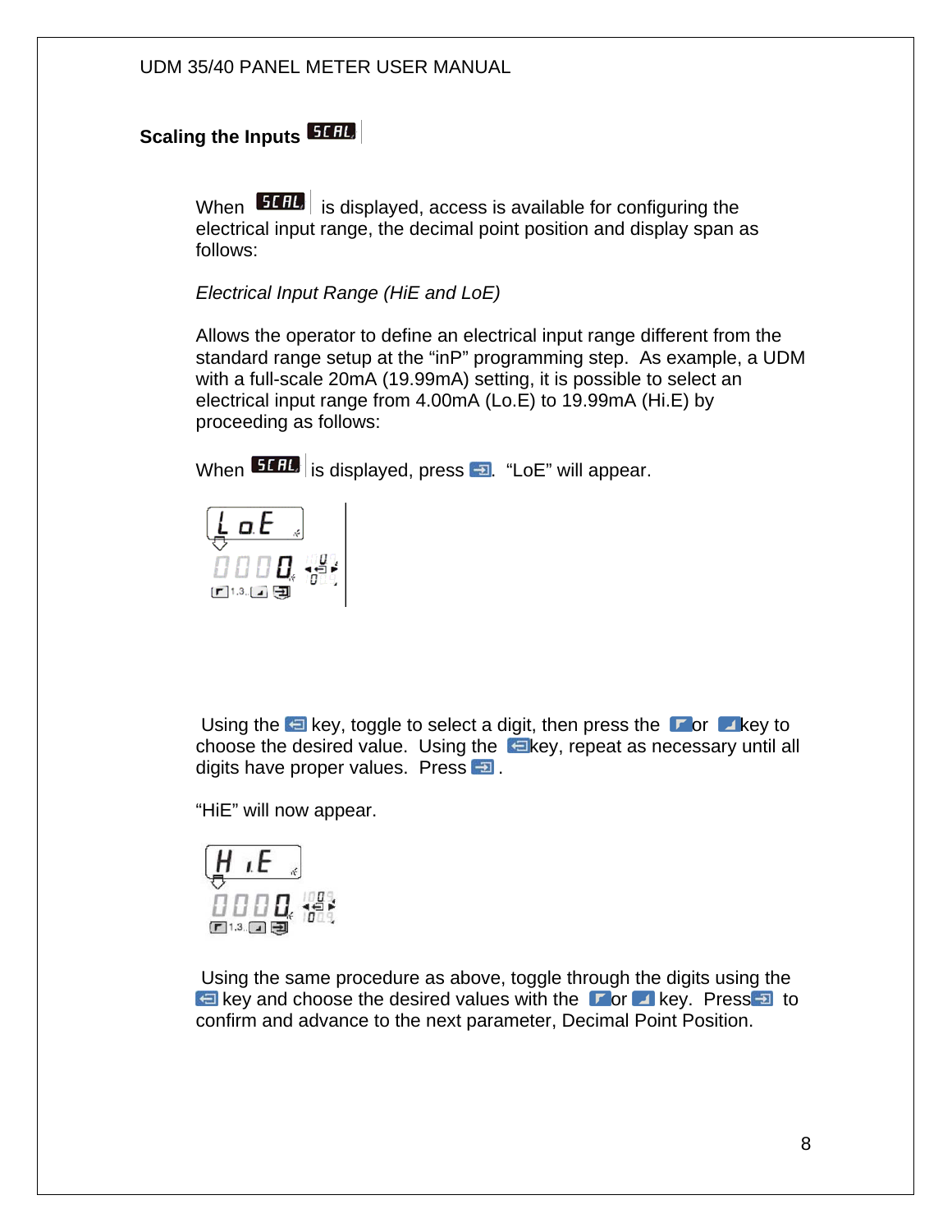# **Scaling the Inputs**

When **51 BL** is displayed, access is available for configuring the electrical input range, the decimal point position and display span as follows:

*Electrical Input Range (HiE and LoE)* 

Allows the operator to define an electrical input range different from the standard range setup at the "inP" programming step. As example, a UDM with a full-scale 20mA (19.99mA) setting, it is possible to select an electrical input range from 4.00mA (Lo.E) to 19.99mA (Hi.E) by proceeding as follows:

When  $\left| \frac{5141}{18} \right|$  is displayed, press  $\left| \frac{1}{2} \right|$ . "LoE" will appear.



Using the  $\bigoplus$  key, toggle to select a digit, then press the  $\bigtriangledown$  or  $\bigtriangleup$  key to choose the desired value. Using the  $k = k$  repeat as necessary until all digits have proper values. Press **a**.

"HiE" will now appear.



 Using the same procedure as above, toggle through the digits using the key and choose the desired values with the  $\Box$  or  $\Box$  key. Press  $\Box$  to confirm and advance to the next parameter, Decimal Point Position.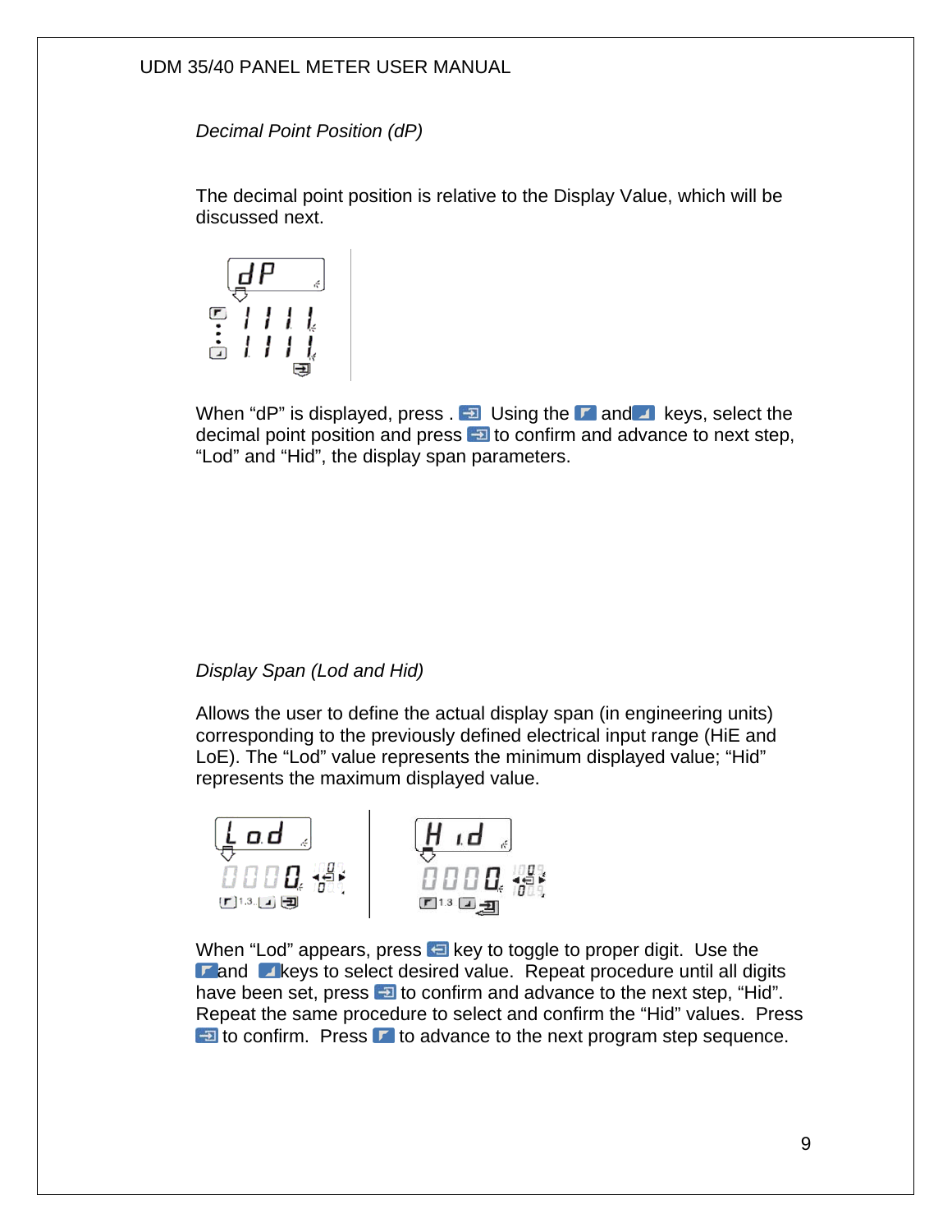*Decimal Point Position (dP)* 

The decimal point position is relative to the Display Value, which will be discussed next.



When "dP" is displayed, press  $\Box$  Using the  $\Box$  and  $\Box$  keys, select the decimal point position and press  $\Box$  to confirm and advance to next step, "Lod" and "Hid", the display span parameters.

#### *Display Span (Lod and Hid)*

Allows the user to define the actual display span (in engineering units) corresponding to the previously defined electrical input range (HiE and LoE). The "Lod" value represents the minimum displayed value; "Hid" represents the maximum displayed value.



When "Lod" appears, press  $\Box$  key to toggle to proper digit. Use the  $\triangleright$  and  $\triangleright$  keys to select desired value. Repeat procedure until all digits have been set, press  $\Box$  to confirm and advance to the next step, "Hid". Repeat the same procedure to select and confirm the "Hid" values. Press  $\Box$  to confirm. Press  $\Box$  to advance to the next program step sequence.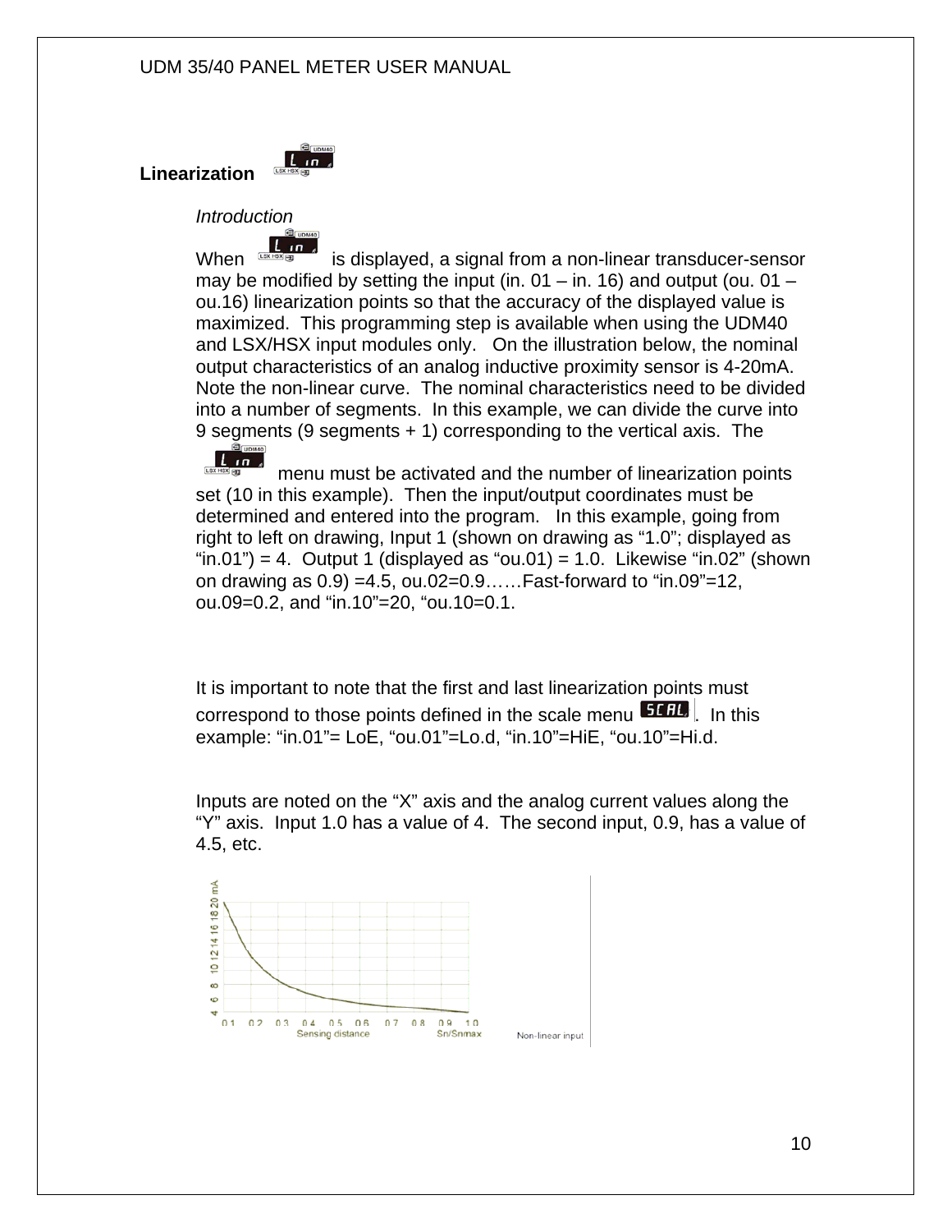

*Introduction* 

**Linearization** 

When  $\frac{1}{\text{SUSY} + \text{SUSY}}$  is displayed, a signal from a non-linear transducer-sensor may be modified by setting the input (in.  $01 -$  in. 16) and output (ou.  $01$ ou.16) linearization points so that the accuracy of the displayed value is maximized. This programming step is available when using the UDM40 and LSX/HSX input modules only. On the illustration below, the nominal output characteristics of an analog inductive proximity sensor is 4-20mA. Note the non-linear curve. The nominal characteristics need to be divided into a number of segments. In this example, we can divide the curve into 9 segments (9 segments + 1) corresponding to the vertical axis. The

 $L_{\text{USX HSS}}^{\text{CD}}$  menu must be activated and the number of linearization points set (10 in this example). Then the input/output coordinates must be determined and entered into the program. In this example, going from right to left on drawing, Input 1 (shown on drawing as "1.0"; displayed as "in.01") = 4. Output 1 (displayed as "ou.01) = 1.0. Likewise "in.02" (shown on drawing as 0.9) =4.5, ou.02=0.9……Fast-forward to "in.09"=12, ou.09=0.2, and "in.10"=20, "ou.10=0.1.

It is important to note that the first and last linearization points must correspond to those points defined in the scale menu **51 BL**. In this example: "in.01"= LoE, "ou.01"=Lo.d, "in.10"=HiE, "ou.10"=Hi.d.

Inputs are noted on the "X" axis and the analog current values along the "Y" axis. Input 1.0 has a value of 4. The second input, 0.9, has a value of 4.5, etc.

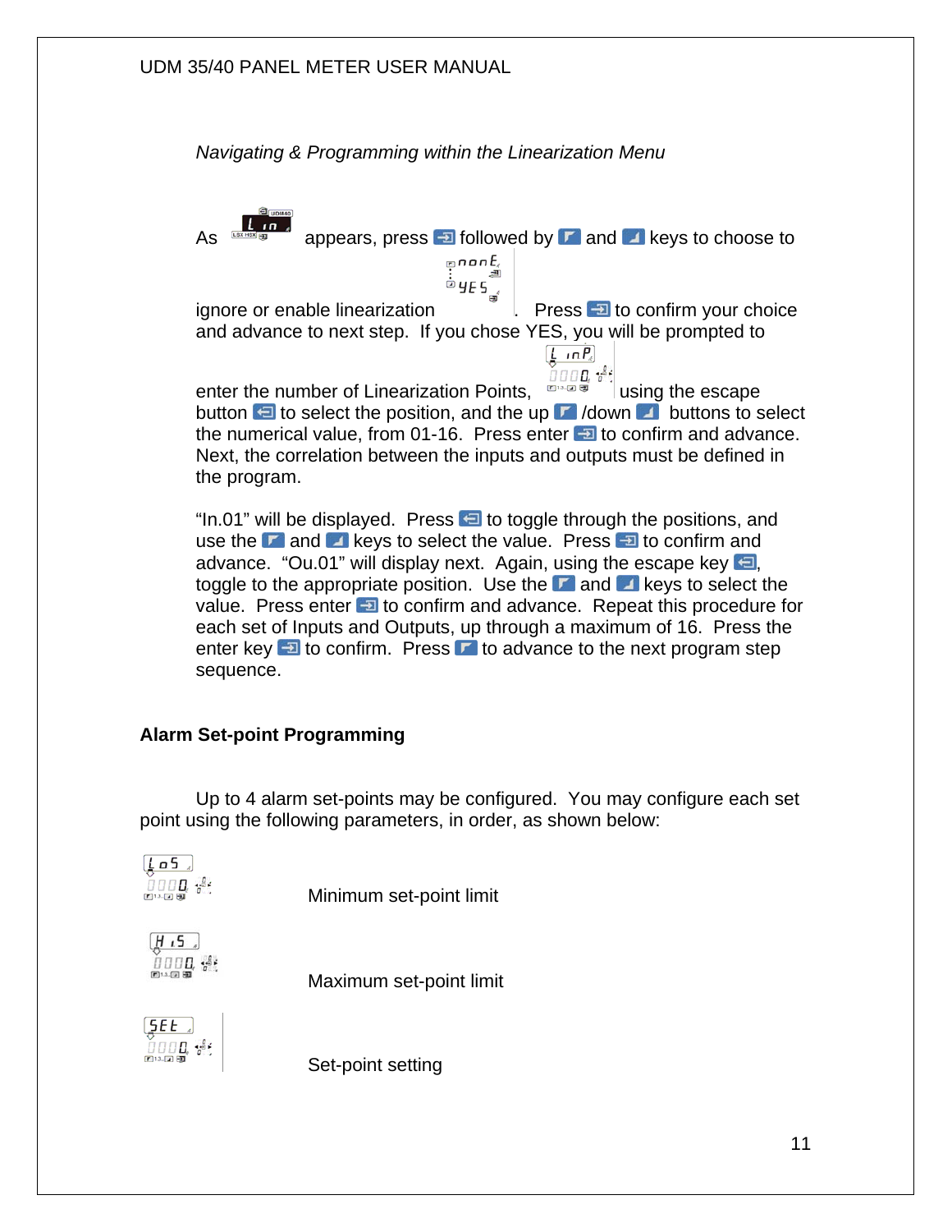*Navigating & Programming within the Linearization Menu* 

As  $\frac{1}{\cos \theta}$  appears, press **FD** followed by **F** and **A** keys to choose to  $n$ nan $E_{\ell}$ ignore or enable linearization  $\frac{1}{\dot{\bm{\omega}}}$  y<sub>E</sub>  $\frac{1}{\dot{\bm{\omega}}}$  Press  $\frac{1}{\dot{\bm{\omega}}}$  to confirm your choice and advance to next step. If you chose YES, you will be prompted to  $\left[ \frac{1}{2}$  in  $P_c \right]$ 0000.34 enter the number of Linearization Points,  $\mathbb{R}^n$  and  $\mathbb{R}^n$  lusing the escape button  $\bigoplus$  to select the position, and the up  $\bigcap$  /down  $\bigcup$  buttons to select the numerical value, from 01-16. Press enter  $\Box$  to confirm and advance. Next, the correlation between the inputs and outputs must be defined in the program. "In.01" will be displayed. Press  $\Box$  to toggle through the positions, and

use the  $\mathbb{F}$  and  $\mathbb{F}$  keys to select the value. Press  $\mathbb{F}$  to confirm and advance. "Ou.01" will display next. Again, using the escape key  $\blacksquare$ , toggle to the appropriate position. Use the  $\Box$  and  $\Box$  keys to select the value. Press enter  $\overline{v}$  to confirm and advance. Repeat this procedure for each set of Inputs and Outputs, up through a maximum of 16. Press the enter key  $\triangleq$  to confirm. Press  $\triangleright$  to advance to the next program step sequence.

#### **Alarm Set-point Programming**

 Up to 4 alarm set-points may be configured. You may configure each set point using the following parameters, in order, as shown below:



Minimum set-point limit



Maximum set-point limit



Set-point setting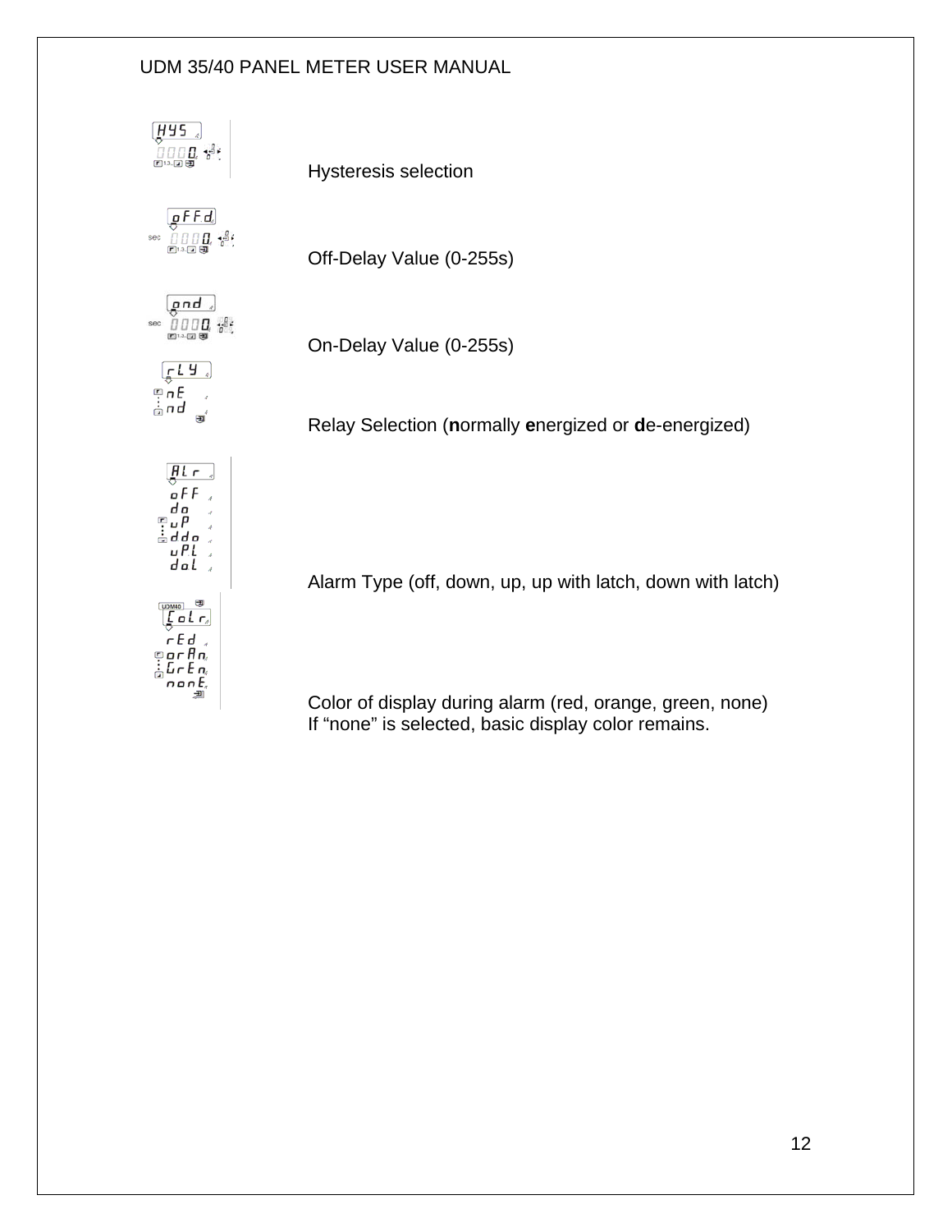

 Color of display during alarm (red, orange, green, none) If "none" is selected, basic display color remains.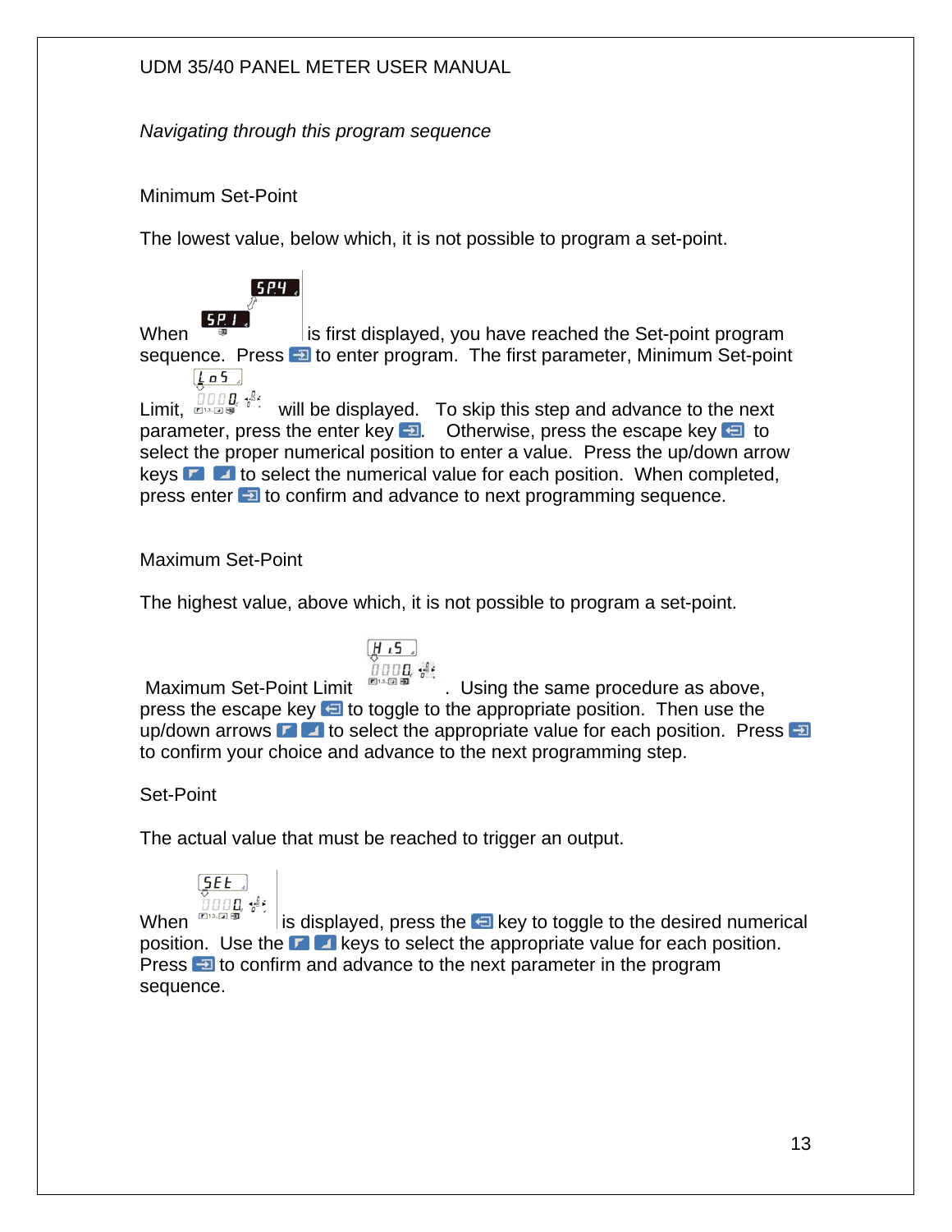*Navigating through this program sequence* 

#### Minimum Set-Point

 $5P4$ 

The lowest value, below which, it is not possible to program a set-point.



Limit,  $\lim_{m\to\infty} \frac{1}{m}$  will be displayed. To skip this step and advance to the next parameter, press the enter key  $\Box$  Otherwise, press the escape key  $\Box$  to select the proper numerical position to enter a value. Press the up/down arrow keys  $\Gamma$   $\Box$  to select the numerical value for each position. When completed, press enter **to** confirm and advance to next programming sequence.

#### Maximum Set-Point

The highest value, above which, it is not possible to program a set-point.

$$
\begin{array}{c}\n\overline{H \cdot 5} \\
\overline{H \cup H} \\
\overline{H} \\
\overline{H} \\
\overline{H} \\
\overline{H} \\
\overline{H} \\
\overline{H} \\
\overline{H} \\
\overline{H} \\
\overline{H} \\
\overline{H} \\
\overline{H} \\
\overline{H} \\
\overline{H} \\
\overline{H} \\
\overline{H} \\
\overline{H} \\
\overline{H} \\
\overline{H} \\
\overline{H} \\
\overline{H} \\
\overline{H} \\
\overline{H} \\
\overline{H} \\
\overline{H} \\
\overline{H} \\
\overline{H} \\
\overline{H} \\
\overline{H} \\
\overline{H} \\
\overline{H} \\
\overline{H} \\
\overline{H} \\
\overline{H} \\
\overline{H} \\
\overline{H} \\
\overline{H} \\
\overline{H} \\
\overline{H} \\
\overline{H} \\
\overline{H} \\
\overline{H} \\
\overline{H} \\
\overline{H} \\
\overline{H} \\
\overline{H} \\
\overline{H} \\
\overline{H} \\
\overline{H} \\
\overline{H} \\
\overline{H} \\
\overline{H} \\
\overline{H} \\
\overline{H} \\
\overline{H} \\
\overline{H} \\
\overline{H} \\
\overline{H} \\
\overline{H} \\
\overline{H} \\
\overline{H} \\
\overline{H} \\
\overline{H} \\
\overline{H} \\
\overline{H} \\
\overline{H} \\
\overline{H} \\
\overline{H} \\
\overline{H} \\
\overline{H} \\
\overline{H} \\
\overline{H} \\
\overline{H} \\
\overline{H} \\
\overline{H} \\
\overline{H} \\
\overline{H} \\
\overline{H} \\
\overline{H} \\
\overline{H} \\
\overline{H} \\
\overline{H} \\
\overline{H} \\
\overline{H} \\
\overline{H} \\
\overline{H} \\
\overline{H} \\
\overline{H} \\
\overline{H} \\
\overline{H} \\
\overline{H} \\
\overline{H} \\
\overline{H} \\
\overline{H} \\
\overline{H} \\
\overline{H} \\
\overline{H} \\
\overline{H} \\
\overline{H} \\
\overline{H} \\
\overline{H} \\
\overline{H} \\
\overline{H} \\
\overline{H} \\
\overline{H} \\
\overline
$$

Maximum Set-Point Limit  $\Box$   $\Box$   $\Box$  Using the same procedure as above, press the escape key  $\Box$  to toggle to the appropriate position. Then use the up/down arrows  $\blacksquare$  to select the appropriate value for each position. Press  $\blacksquare$ to confirm your choice and advance to the next programming step.

#### Set-Point

The actual value that must be reached to trigger an output.



When  $\mathbb{R}^n$  is displayed, press the  $\mathbb{R}^n$  key to toggle to the desired numerical position. Use the  $\blacksquare$  keys to select the appropriate value for each position. Press **to** confirm and advance to the next parameter in the program sequence.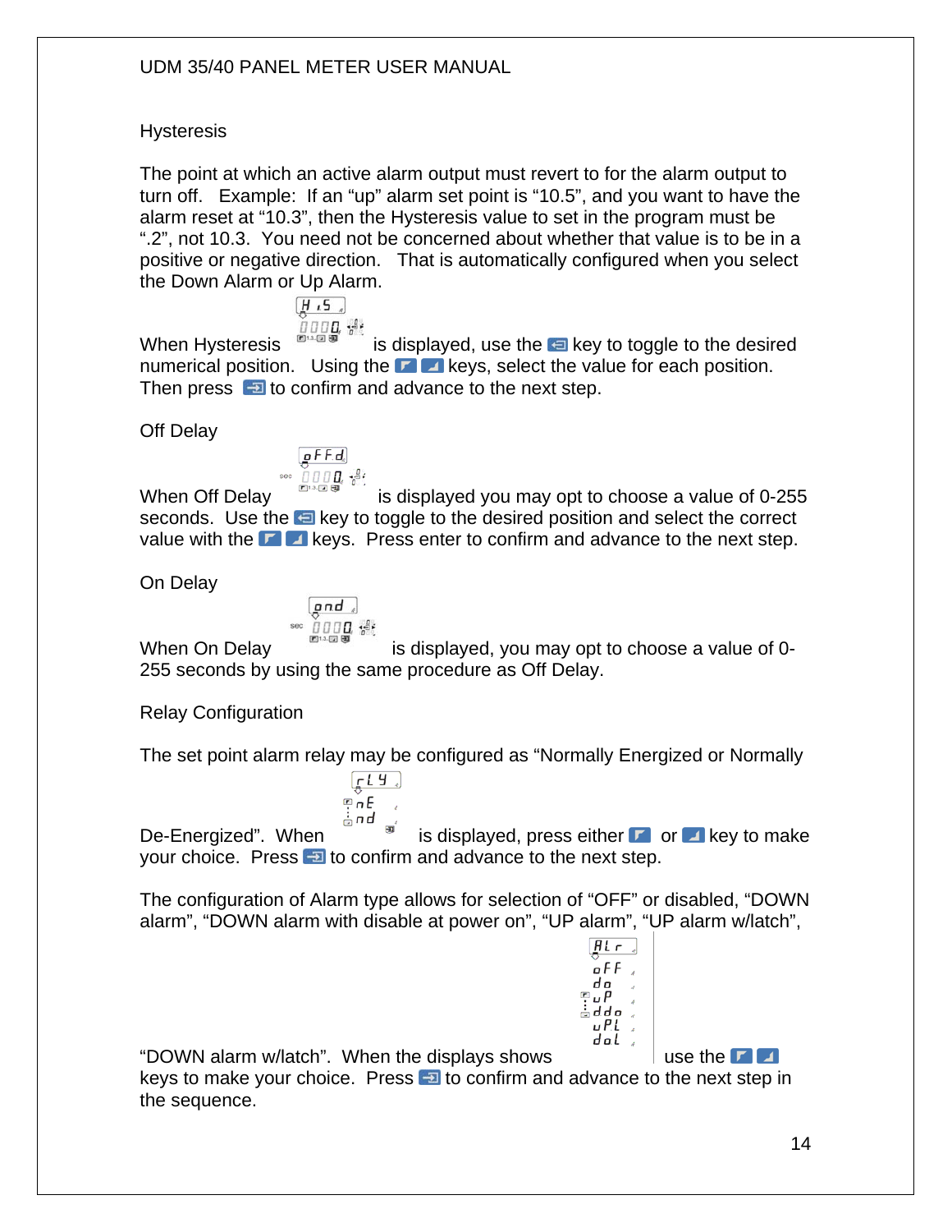#### **Hysteresis**

The point at which an active alarm output must revert to for the alarm output to turn off. Example: If an "up" alarm set point is "10.5", and you want to have the alarm reset at "10.3", then the Hysteresis value to set in the program must be ".2", not 10.3. You need not be concerned about whether that value is to be in a positive or negative direction. That is automatically configured when you select the Down Alarm or Up Alarm.

$$
\frac{H \cdot 5}{\frac{H}{\pi} \pi \pi}
$$

When Hysteresis **in the state of the key to toggle to the desired** numerical position. Using the  $\blacksquare$  keys, select the value for each position. Then press  $\Box$  to confirm and advance to the next step.

Off Delay

$$
\begin{array}{c}\n\boxed{\mathbf{g} \mathbf{F} \mathbf{F} \mathbf{d}} \\
\hline\n\end{array}
$$

When Off Delay is displayed you may opt to choose a value of 0-255 seconds. Use the **E** key to toggle to the desired position and select the correct value with the  $\blacksquare$  keys. Press enter to confirm and advance to the next step.

On Delay

$$
\begin{array}{c}\n\text{and} \\
\hline\n\text{on} \\
\hline\n\text{non} \\
\hline\n\text{on} \\
\hline\n\end{array}
$$

 $\sqrt{fU_{*}}$  $int F$ 

When On Delay is displayed, you may opt to choose a value of 0-255 seconds by using the same procedure as Off Delay.

Relay Configuration

The set point alarm relay may be configured as "Normally Energized or Normally

க் எ d De-Energized". When  $\mathbb{R}^3$  is displayed, press either  $\mathbb{R}^3$  or  $\mathbb{R}^3$  key to make your choice. Press  $\Box$  to confirm and advance to the next step.

The configuration of Alarm type allows for selection of "OFF" or disabled, "DOWN alarm", "DOWN alarm with disable at power on", "UP alarm", "UP alarm w/latch",



"DOWN alarm w/latch". When the displays shows  $\|\cdot\|$  use the  $\blacksquare$ keys to make your choice. Press  $\Box$  to confirm and advance to the next step in the sequence.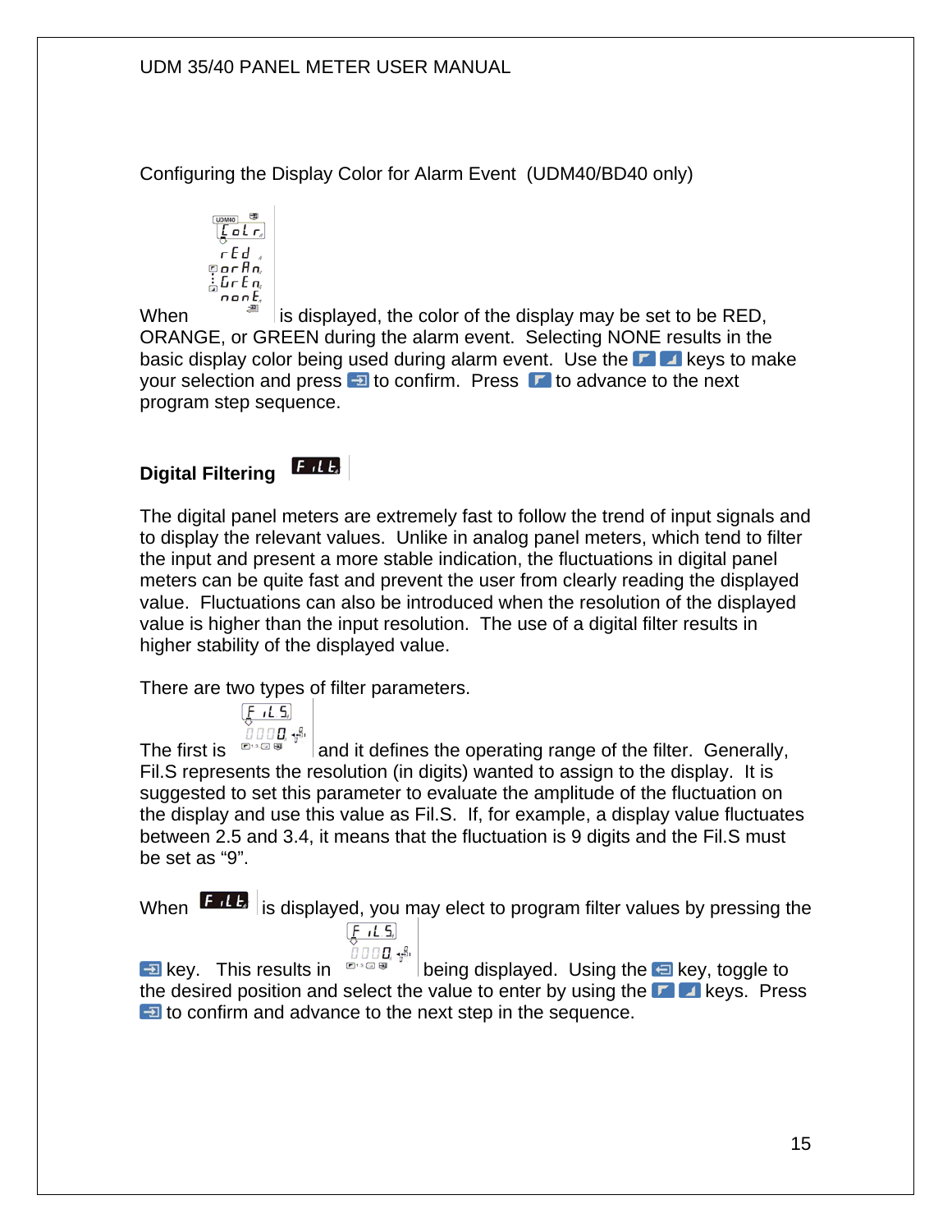Configuring the Display Color for Alarm Event (UDM40/BD40 only)

$$
\begin{array}{c}\n\overline{\text{max}} \\
\overline{\text{max}} \\
\overline{\text{max}} \\
\overline{\text{max}} \\
\overline{\text{max}} \\
\overline{\text{max}} \\
\overline{\text{max}} \\
\overline{\text{max}} \\
\overline{\text{max}} \\
\overline{\text{max}} \\
\overline{\text{max}} \\
\overline{\text{max}} \\
\overline{\text{max}} \\
\overline{\text{max}} \\
\overline{\text{max}} \\
\overline{\text{max}} \\
\overline{\text{max}} \\
\overline{\text{max}} \\
\overline{\text{max}} \\
\overline{\text{max}} \\
\overline{\text{max}} \\
\overline{\text{max}} \\
\overline{\text{max}} \\
\overline{\text{max}} \\
\overline{\text{max}} \\
\overline{\text{max}} \\
\overline{\text{max}} \\
\overline{\text{max}} \\
\overline{\text{max}} \\
\overline{\text{max}} \\
\overline{\text{max}} \\
\overline{\text{max}} \\
\overline{\text{max}} \\
\overline{\text{max}} \\
\overline{\text{max}} \\
\overline{\text{max}} \\
\overline{\text{max}} \\
\overline{\text{max}} \\
\overline{\text{max}} \\
\overline{\text{max}} \\
\overline{\text{max}} \\
\overline{\text{max}} \\
\overline{\text{max}} \\
\overline{\text{max}} \\
\overline{\text{max}} \\
\overline{\text{max}} \\
\overline{\text{max}} \\
\overline{\text{max}} \\
\overline{\text{max}} \\
\overline{\text{max}} \\
\overline{\text{max}} \\
\overline{\text{max}} \\
\overline{\text{max}} \\
\overline{\text{max}} \\
\overline{\text{max}} \\
\overline{\text{max}} \\
\overline{\text{max}} \\
\overline{\text{max}} \\
\overline{\text{max}} \\
\overline{\text{max}} \\
\overline{\text{max}} \\
\overline{\text{max}} \\
\overline{\text{max}} \\
\overline{\text{max}} \\
\overline{\text{max}} \\
\overline{\text{max}} \\
\overline{\text{max}} \\
\overline{\text{max}} \\
\overline{\text{max}} \\
\overline{\text{max}} \\
\overline{\text{max}} \\
\overline{\text{max}} \\
\overline{\text{max}} \\
\overline{\text{max}} \\
\overline{\text{max}} \\
\overline{\text{max}} \\
\overline{\text{max}} \\
\overline{\text{max}} \\
\overline{\text{max}} \\
\overline{\text{max}} \\
\overline{\text{max}} \\
\overline{\text{max}} \\
\overline{\text{max}} \\
\overline{\text
$$

When  $\mathbb{R}^n$  is displayed, the color of the display may be set to be RED, ORANGE, or GREEN during the alarm event. Selecting NONE results in the basic display color being used during alarm event. Use the  $\blacksquare$  keys to make your selection and press  $\blacksquare$  to confirm. Press  $\blacksquare$  to advance to the next program step sequence.

# **Digital Filtering**

 $F$ , L $E$ 

The digital panel meters are extremely fast to follow the trend of input signals and to display the relevant values. Unlike in analog panel meters, which tend to filter the input and present a more stable indication, the fluctuations in digital panel meters can be quite fast and prevent the user from clearly reading the displayed value. Fluctuations can also be introduced when the resolution of the displayed value is higher than the input resolution. The use of a digital filter results in higher stability of the displayed value.

There are two types of filter parameters.

$$
\underbrace{F \cdot L.5}_{\square \square \square \square \bullet}.
$$

The first is  $\mathbb{R}^n$  and it defines the operating range of the filter. Generally, Fil.S represents the resolution (in digits) wanted to assign to the display. It is suggested to set this parameter to evaluate the amplitude of the fluctuation on the display and use this value as Fil.S. If, for example, a display value fluctuates between 2.5 and 3.4, it means that the fluctuation is 9 digits and the Fil.S must be set as "9".

When  $\left| \mathbf{F} \right|$  is displayed, you may elect to program filter values by pressing the  $F I.5$ 

7000. S

**Example 19 Key.** This results in  $\mathbb{R}^n$  being displayed. Using the **Example 19 Key, toggle to** the desired position and select the value to enter by using the **F A** keys. Press to confirm and advance to the next step in the sequence.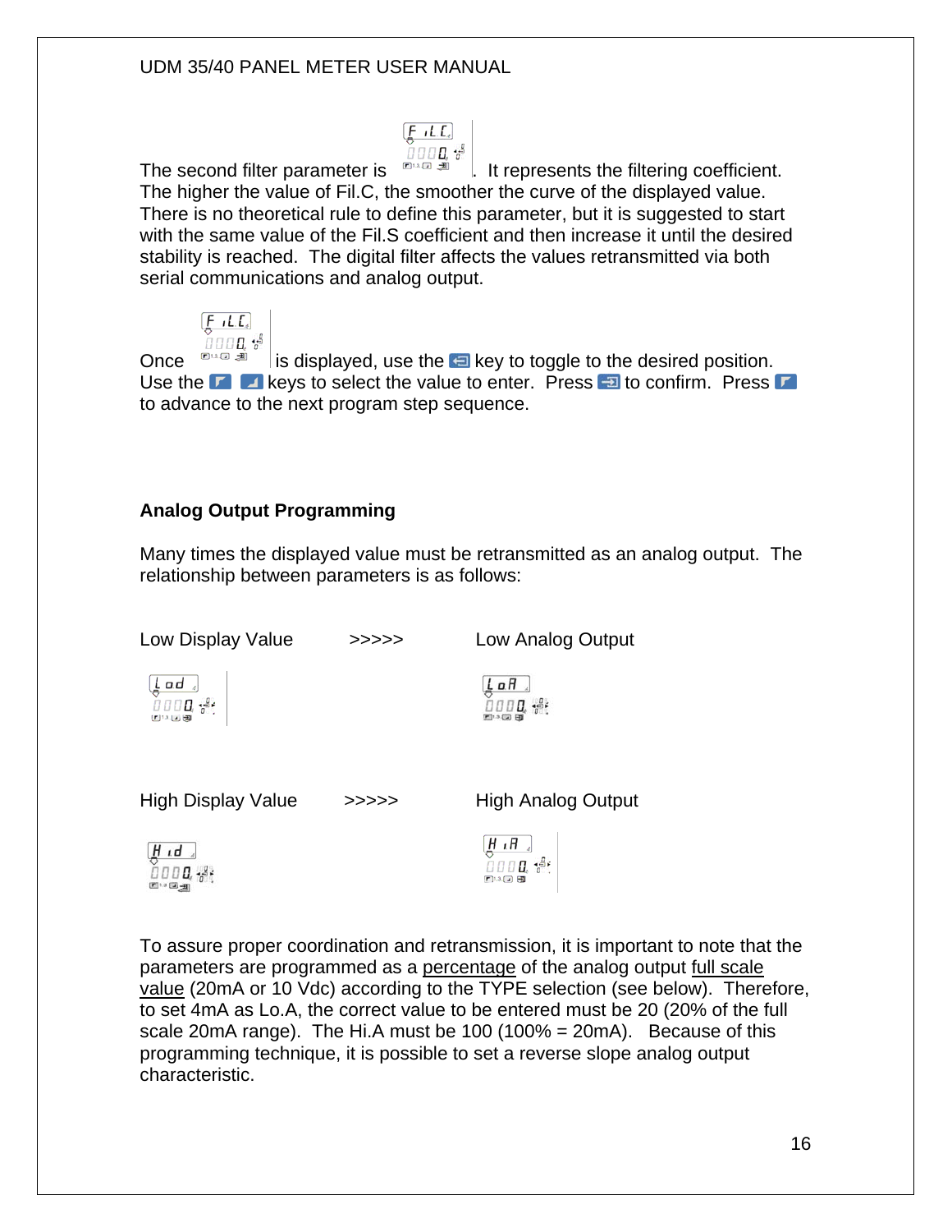$0000<sup>43</sup>$ The second filter parameter is  $\Box$   $\Box$  it represents the filtering coefficient. The higher the value of Fil.C, the smoother the curve of the displayed value. There is no theoretical rule to define this parameter, but it is suggested to start with the same value of the Fil.S coefficient and then increase it until the desired stability is reached. The digital filter affects the values retransmitted via both serial communications and analog output.

 $[$ **F**  $_1$ **L**,**E**<sub>e</sub> $]$ 

 $[$  $F$   $I$   $.$   $L$ <sub> $4$ </sub> $]$  $0000<sup>48</sup>$ 

Once  $\mathbb{R}^n$  is displayed, use the **E** key to toggle to the desired position. Use the  $\Box$   $\Box$  keys to select the value to enter. Press  $\Box$  to confirm. Press  $\Box$ to advance to the next program step sequence.

#### **Analog Output Programming**

四日国

Many times the displayed value must be retransmitted as an analog output. The relationship between parameters is as follows:

| Low Display Value                                                                                                              | >>>>> | Low Analog Output                         |
|--------------------------------------------------------------------------------------------------------------------------------|-------|-------------------------------------------|
| $\underbrace{\underbrace{\underbrace{\underbrace{\textbf{L} \textbf{d} \textbf{d}}_{\textbf{d}}}}_{\textbf{LHS}}\textbf{LHS}}$ |       | $rac{L}{2}$ a $H$<br>$0000$ $\frac{1}{2}$ |
| High Display Value                                                                                                             | >>>>> | <b>High Analog Output</b>                 |
| <u>ម្ពាធា</u><br>ក្រោយ អូរ                                                                                                     |       | $\frac{H \cdot H}{0000}$                  |

To assure proper coordination and retransmission, it is important to note that the parameters are programmed as a percentage of the analog output full scale value (20mA or 10 Vdc) according to the TYPE selection (see below). Therefore, to set 4mA as Lo.A, the correct value to be entered must be 20 (20% of the full scale 20 mA range). The Hi.A must be 100 (100% = 20 mA). Because of this programming technique, it is possible to set a reverse slope analog output characteristic.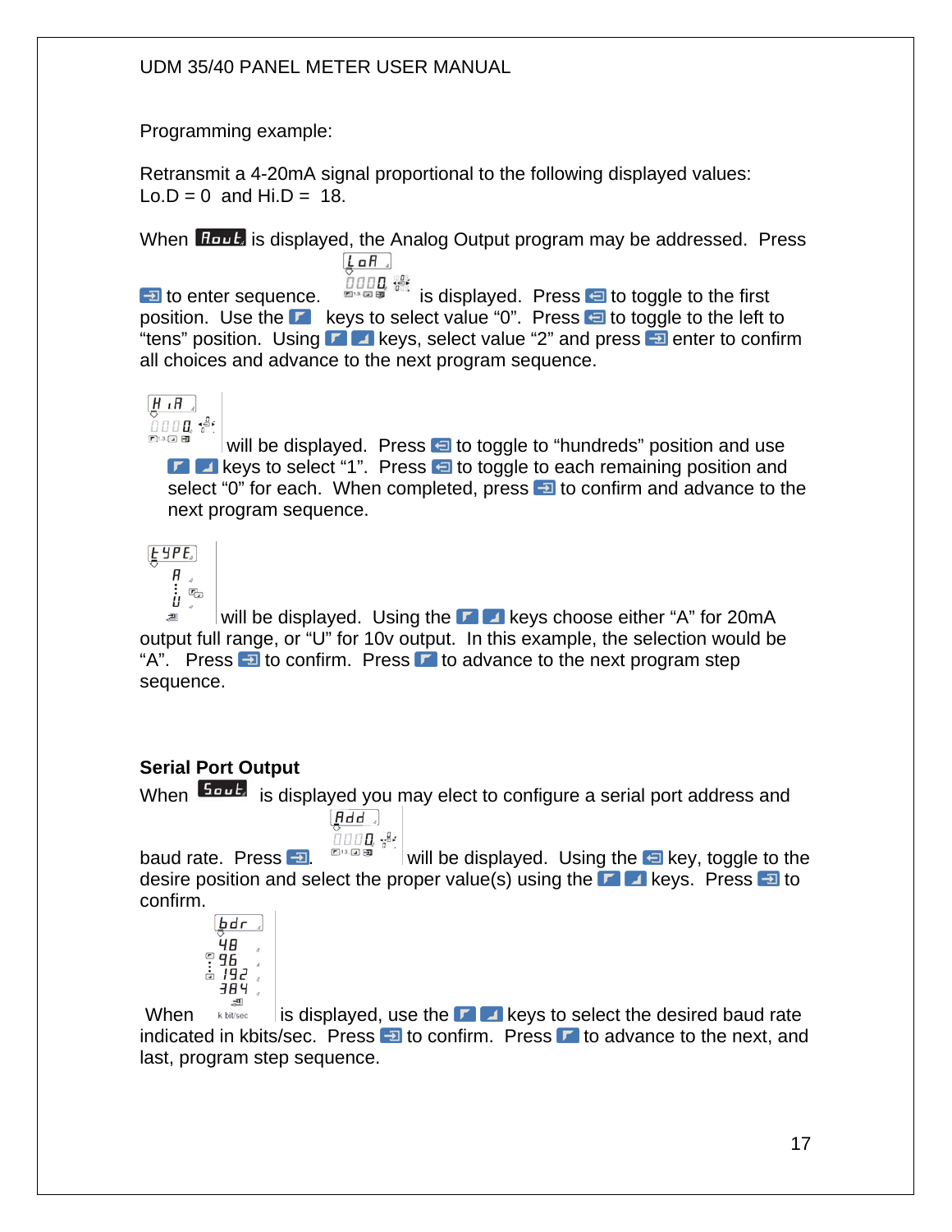Programming example:

Retransmit a 4-20mA signal proportional to the following displayed values:  $Lo.D = 0$  and  $Hi.D = 18$ .

When **Hout** is displayed, the Analog Output program may be addressed. Press  $L$  aH  $\rightarrow$ 

**to enter sequence.**  $\frac{\partial \text{ggg}}{\partial x}$  is displayed. Press **to toggle to the first** position. Use the  $\blacksquare$  keys to select value "0". Press  $\blacksquare$  to toggle to the left to "tens" position. Using  $\blacksquare$  keys, select value "2" and press  $\blacksquare$  enter to confirm all choices and advance to the next program sequence.



will be displayed. Press  $\bigoplus$  to toggle to "hundreds" position and use  $\Box$  keys to select "1". Press  $\Box$  to toggle to each remaining position and select "0" for each. When completed, press **the total confirm and advance to the** next program sequence.

 $E$  yp $E$ 



will be displayed. Using the  $\blacksquare$  keys choose either "A" for 20mA 画 output full range, or "U" for 10v output. In this example, the selection would be "A". Press  $\overline{\bullet}$  to confirm. Press  $\overline{\bullet}$  to advance to the next program step sequence.

# **Serial Port Output**

When  $\frac{5\omega L}{ }$  is displayed you may elect to configure a serial port address and  $[Hdd]$ 

ப்பப**ப**ித் baud rate. Press  $\Box$  will be displayed. Using the  $\Box$  key, toggle to the desire position and select the proper value(s) using the **k**eys. Press **to** to confirm.

$$
\begin{array}{c}\n\sqrt{1} \\
\sqrt{1} \\
\sqrt{1} \\
\sqrt{1} \\
\sqrt{1} \\
\sqrt{1} \\
\sqrt{1} \\
\sqrt{1} \\
\sqrt{1} \\
\sqrt{1} \\
\sqrt{1} \\
\sqrt{1} \\
\sqrt{1} \\
\sqrt{1} \\
\sqrt{1} \\
\sqrt{1} \\
\sqrt{1} \\
\sqrt{1} \\
\sqrt{1} \\
\sqrt{1} \\
\sqrt{1} \\
\sqrt{1} \\
\sqrt{1} \\
\sqrt{1} \\
\sqrt{1} \\
\sqrt{1} \\
\sqrt{1} \\
\sqrt{1} \\
\sqrt{1} \\
\sqrt{1} \\
\sqrt{1} \\
\sqrt{1} \\
\sqrt{1} \\
\sqrt{1} \\
\sqrt{1} \\
\sqrt{1} \\
\sqrt{1} \\
\sqrt{1} \\
\sqrt{1} \\
\sqrt{1} \\
\sqrt{1} \\
\sqrt{1} \\
\sqrt{1} \\
\sqrt{1} \\
\sqrt{1} \\
\sqrt{1} \\
\sqrt{1} \\
\sqrt{1} \\
\sqrt{1} \\
\sqrt{1} \\
\sqrt{1} \\
\sqrt{1} \\
\sqrt{1} \\
\sqrt{1} \\
\sqrt{1} \\
\sqrt{1} \\
\sqrt{1} \\
\sqrt{1} \\
\sqrt{1} \\
\sqrt{1} \\
\sqrt{1} \\
\sqrt{1} \\
\sqrt{1} \\
\sqrt{1} \\
\sqrt{1} \\
\sqrt{1} \\
\sqrt{1} \\
\sqrt{1} \\
\sqrt{1} \\
\sqrt{1} \\
\sqrt{1} \\
\sqrt{1} \\
\sqrt{1} \\
\sqrt{1} \\
\sqrt{1} \\
\sqrt{1} \\
\sqrt{1} \\
\sqrt{1} \\
\sqrt{1} \\
\sqrt{1} \\
\sqrt{1} \\
\sqrt{1} \\
\sqrt{1} \\
\sqrt{1} \\
\sqrt{1} \\
\sqrt{1} \\
\sqrt{1} \\
\sqrt{1} \\
\sqrt{1} \\
\sqrt{1} \\
\sqrt{1} \\
\sqrt{1} \\
\sqrt{1} \\
\sqrt{1} \\
\sqrt{1} \\
\sqrt{1} \\
\sqrt{1} \\
\sqrt{1} \\
\sqrt{1} \\
\sqrt{1} \\
\sqrt{1} \\
\sqrt{1} \\
\sqrt{1} \\
\sqrt{1} \\
\sqrt{1} \\
\sqrt{1} \\
\sqrt{1} \\
\sqrt{1} \\
\sqrt{1} \\
\sqrt{1} \\
\sqrt{1} \\
\sqrt{1} \\
\sqrt{1} \\
\sqrt{1} \\
\sqrt{1} \\
\sqrt{1} \\
\sqrt{1} \\
\sqrt{1} \\
\sqrt{1} \\
\sqrt{1} \\
\sqrt{1} \\
\sqrt{1} \\
\sqrt{1} \\
\sqrt{1} \\
\sqrt{1} \\
\sqrt
$$

When  $\frac{1}{\text{KbM}}$  is displayed, use the **keys** to select the desired baud rate indicated in kbits/sec. Press  $\blacksquare$  to confirm. Press  $\blacksquare$  to advance to the next, and last, program step sequence.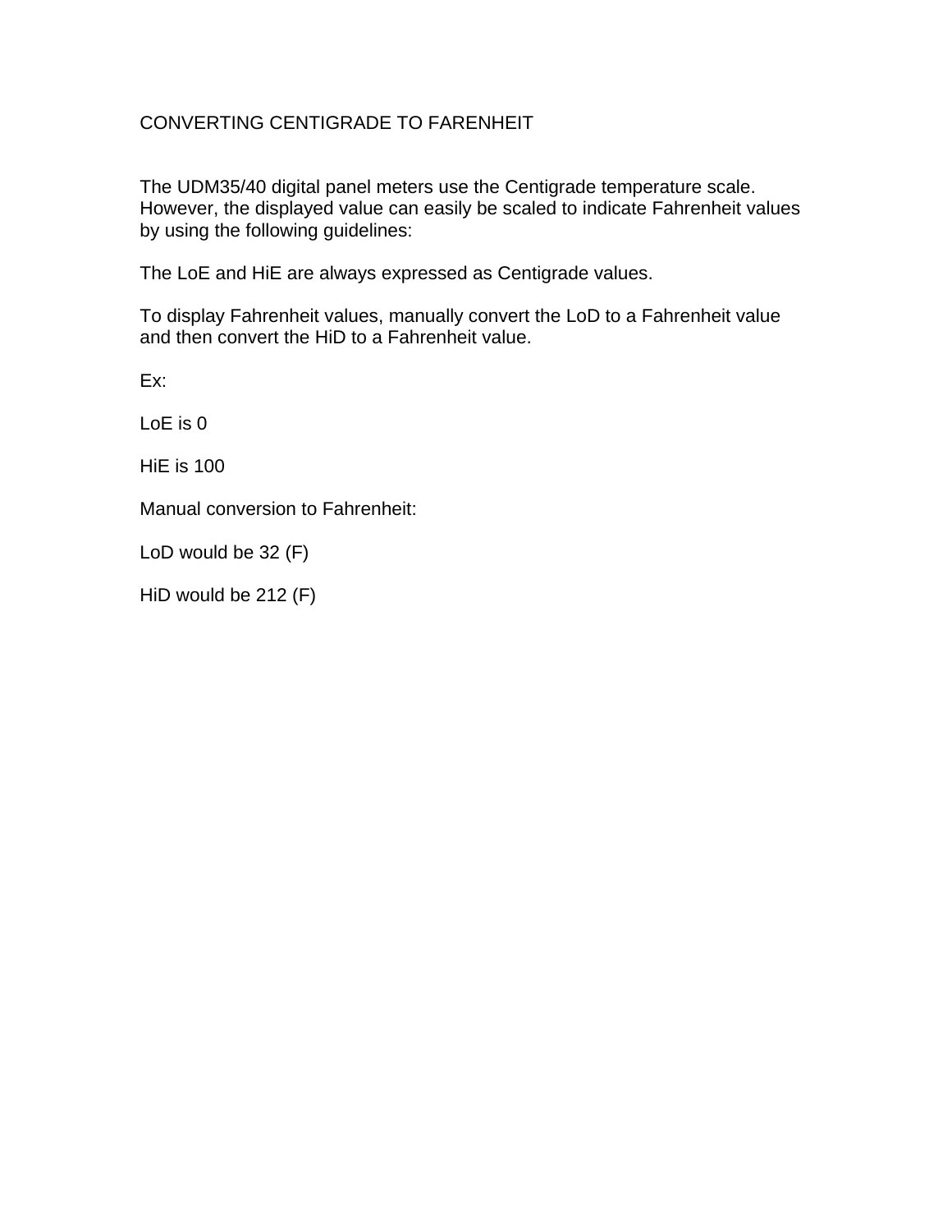### CONVERTING CENTIGRADE TO FARENHEIT

The UDM35/40 digital panel meters use the Centigrade temperature scale. However, the displayed value can easily be scaled to indicate Fahrenheit values by using the following guidelines:

The LoE and HiE are always expressed as Centigrade values.

To display Fahrenheit values, manually convert the LoD to a Fahrenheit value and then convert the HiD to a Fahrenheit value.

Ex:

 $LoF$  is  $O$ 

HiE is 100

Manual conversion to Fahrenheit:

LoD would be 32 (F)

HiD would be 212 (F)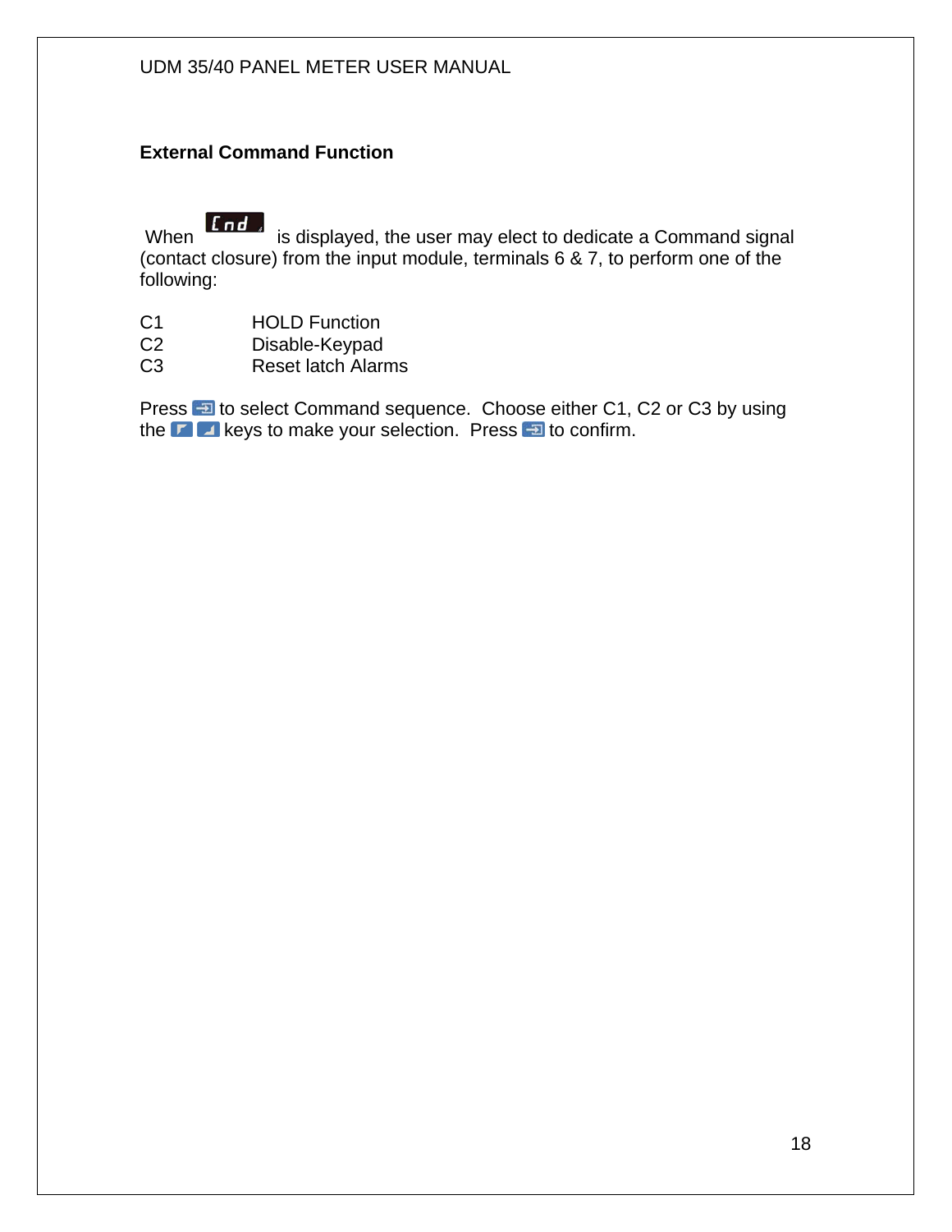#### **External Command Function**

**If nd** is displayed, the user may elect to dedicate a Command signal (contact closure) from the input module, terminals 6 & 7, to perform one of the following:

- C1 HOLD Function<br>C2 Disable-Keypad
- Disable-Keypad
- C3 Reset latch Alarms

Press **D** to select Command sequence. Choose either C1, C2 or C3 by using the  $\blacksquare$  keys to make your selection. Press  $\blacksquare$  to confirm.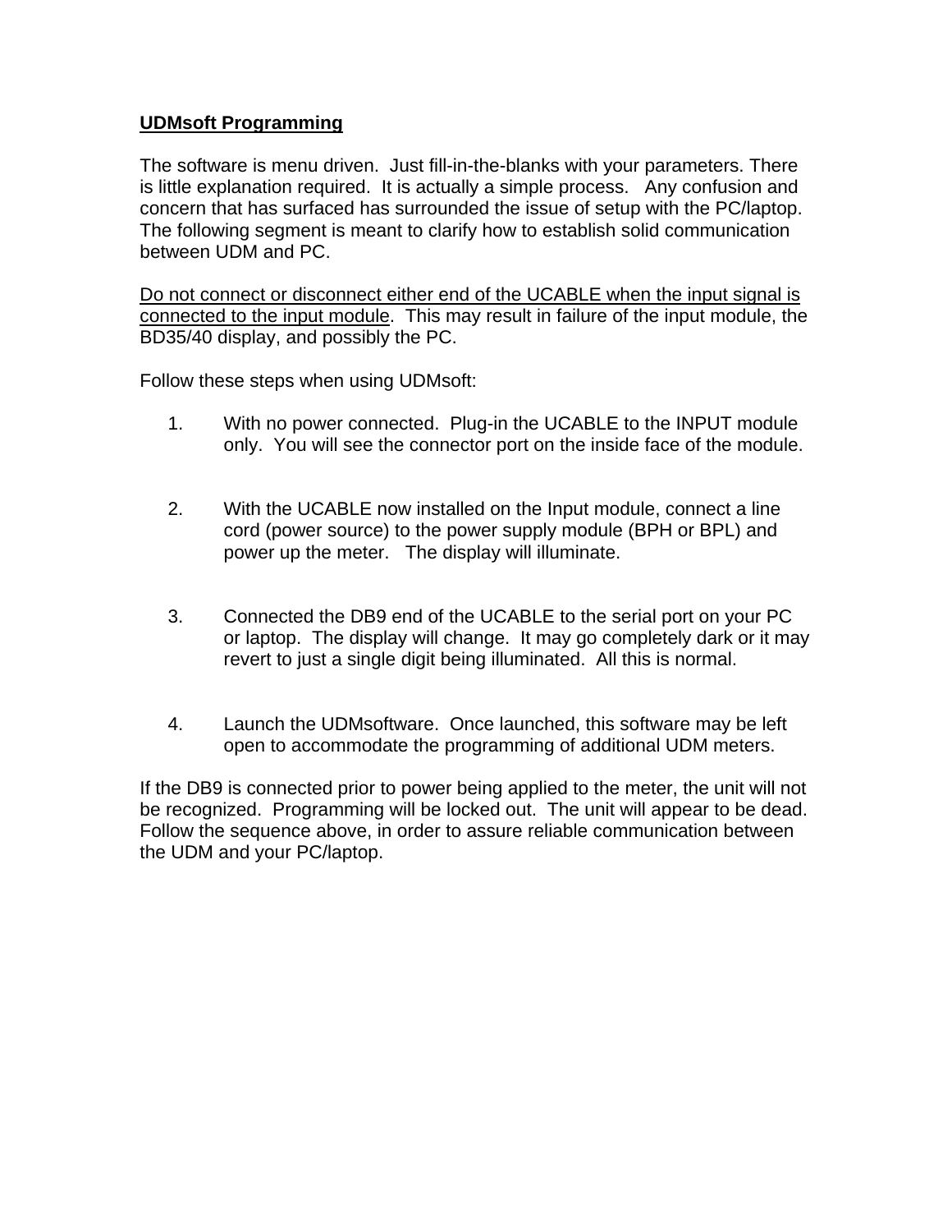#### **UDMsoft Programming**

The software is menu driven. Just fill-in-the-blanks with your parameters. There is little explanation required. It is actually a simple process. Any confusion and concern that has surfaced has surrounded the issue of setup with the PC/laptop. The following segment is meant to clarify how to establish solid communication between UDM and PC.

Do not connect or disconnect either end of the UCABLE when the input signal is connected to the input module. This may result in failure of the input module, the BD35/40 display, and possibly the PC.

Follow these steps when using UDMsoft:

- 1. With no power connected. Plug-in the UCABLE to the INPUT module only. You will see the connector port on the inside face of the module.
- 2. With the UCABLE now installed on the Input module, connect a line cord (power source) to the power supply module (BPH or BPL) and power up the meter. The display will illuminate.
- 3. Connected the DB9 end of the UCABLE to the serial port on your PC or laptop. The display will change. It may go completely dark or it may revert to just a single digit being illuminated. All this is normal.
- 4. Launch the UDMsoftware. Once launched, this software may be left open to accommodate the programming of additional UDM meters.

If the DB9 is connected prior to power being applied to the meter, the unit will not be recognized. Programming will be locked out. The unit will appear to be dead. Follow the sequence above, in order to assure reliable communication between the UDM and your PC/laptop.